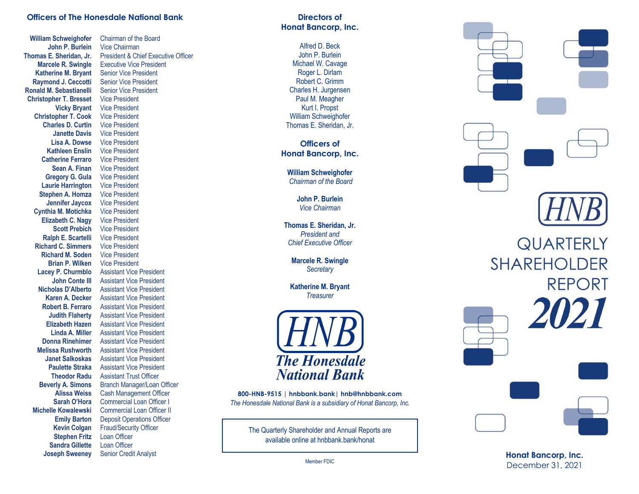## **Officers of The Honesdale National Bank**

**William Schweighofer** Chairman of the Board **John P. Burlein** Vice Chairman **Katherine M. Bryant** Senior Vice President **Raymond J. Ceccotti** Senior Vice President **Ronald M. Sebastianelli** Senior Vice President **Christopher T. Bresset** Vice President **Vicky Bryant** Vice President **Christopher T. Cook** Vice President<br>**Charles D. Curtin** Vice President **Charles D. Curtin** Vice President<br>Janette Davis Vice President **Janette Davis Lisa A. Dowse** Vice President **Kathleen Enslin** Vice President **Catherine Ferraro** Vice President **Sean A. Finan** Vice President **Gregory G. Gula** Vice President **Laurie Harrington** Vice President **Stephen A. Homza** Vice President **Jennifer Jaycox** Vice President **Cynthia M. Motichka** Vice President **Elizabeth C. Nagy** Vice President **Scott Prebich** Vice President **Ralph E. Scartelli** Vice President **Richard C. Simmers** Vice President **Richard M. Soden** Vice President **Brian P. Wilken** Vice President **Stephen Fritz** Loan Officer **Sandra Gillette** Loan Officer **Joseph Sweeney** Senior Credit Analyst

**Thomas E. Sheridan, Jr.** President & Chief Executive Officer **Marcele R. Swingle** Executive Vice President **Lacey P. Churmblo** Assistant Vice President **John Conte III** Assistant Vice President **Nicholas D'Alberto** Assistant Vice President **Assistant Vice President Robert B. Ferraro** Assistant Vice President **Judith Flaherty** Assistant Vice President **Elizabeth Hazen** Assistant Vice President **Linda A. Miller** Assistant Vice President **Donna Rinehimer** Assistant Vice President **Melissa Rushworth** Assistant Vice President **Janet Salkoskas** Assistant Vice President **Paulette Straka** Assistant Vice President **Theodor Radu** Assistant Trust Officer **Beverly A. Simons** Branch Manager/Loan Officer **Alissa Weiss** Cash Management Officer **Sarah O'Hora** Commercial Loan Officer I **Michelle Kowalewski** Commercial Loan Officer II **Emily Barton** Deposit Operations Officer **Kevin Colgan** Fraud/Security Officer

## **Directors o f Honat Bancorp, Inc .**

Alfred D. Beck John P. Burlein Michael W. Cavage Roger L. Dirlam Robert C. Grimm Charles H. Jurgensen Paul M. Meagher Kurt I. Propst William Schweighofer Thomas E. Sheridan, Jr.

**Officers o f Honat Bancorp, Inc .**

**William Schweighofer** *Chairman of the Board*

> **John P. Burlein** *Vice Chairman*

**Thomas E. Sheridan, Jr.** *President and Chief Executive Officer*

**Marcele R. Swingle** *Secretary*

**Katherine M. Bryant** *Treasurer*



**800 -HNB -9515 | hnbbank.bank| hnb@hnbbank.com** *The Honesdale National Bank is a subsidiary of Honat Bancorp, Inc.* 

> The Quarterly Shareholder and Annual Reports are available online at hnbbank.bank/ honat